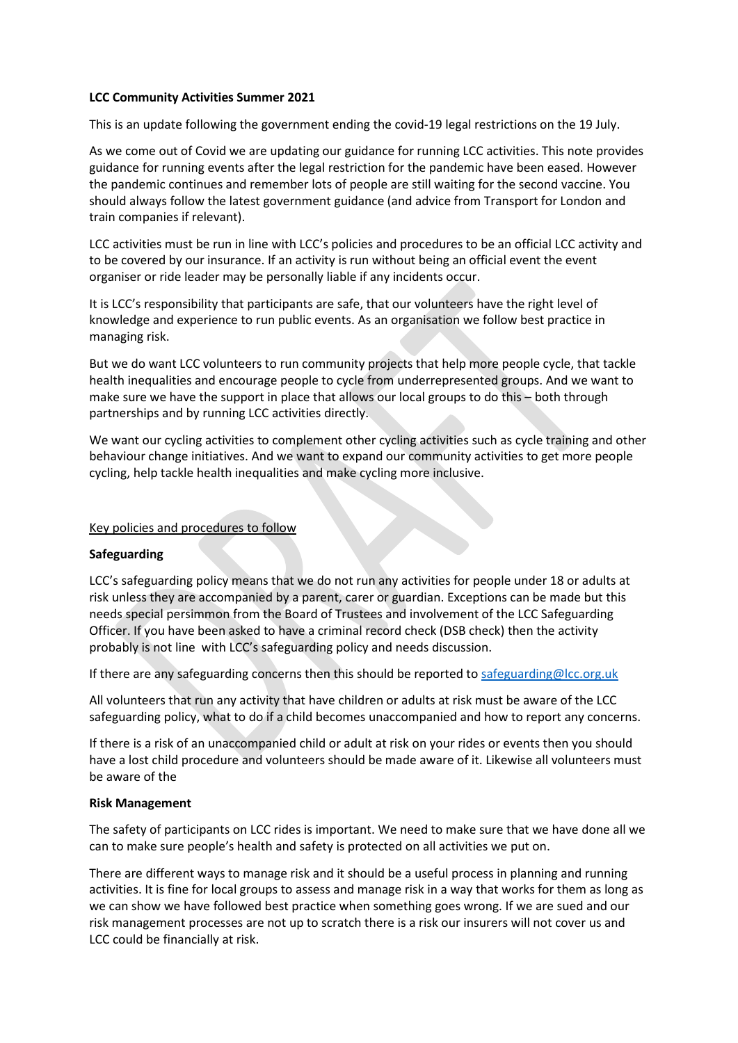### **LCC Community Activities Summer 2021**

This is an update following the government ending the covid-19 legal restrictions on the 19 July.

As we come out of Covid we are updating our guidance for running LCC activities. This note provides guidance for running events after the legal restriction for the pandemic have been eased. However the pandemic continues and remember lots of people are still waiting for the second vaccine. You should always follow the latest government guidance (and advice from Transport for London and train companies if relevant).

LCC activities must be run in line with LCC's policies and procedures to be an official LCC activity and to be covered by our insurance. If an activity is run without being an official event the event organiser or ride leader may be personally liable if any incidents occur.

It is LCC's responsibility that participants are safe, that our volunteers have the right level of knowledge and experience to run public events. As an organisation we follow best practice in managing risk.

But we do want LCC volunteers to run community projects that help more people cycle, that tackle health inequalities and encourage people to cycle from underrepresented groups. And we want to make sure we have the support in place that allows our local groups to do this – both through partnerships and by running LCC activities directly.

We want our cycling activities to complement other cycling activities such as cycle training and other behaviour change initiatives. And we want to expand our community activities to get more people cycling, help tackle health inequalities and make cycling more inclusive.

### Key policies and procedures to follow

#### **Safeguarding**

LCC's safeguarding policy means that we do not run any activities for people under 18 or adults at risk unless they are accompanied by a parent, carer or guardian. Exceptions can be made but this needs special persimmon from the Board of Trustees and involvement of the LCC Safeguarding Officer. If you have been asked to have a criminal record check (DSB check) then the activity probably is not line with LCC's safeguarding policy and needs discussion.

If there are any safeguarding concerns then this should be reported to [safeguarding@lcc.org.uk](mailto:safegurading@lcc.org.uk)

All volunteers that run any activity that have children or adults at risk must be aware of the LCC safeguarding policy, what to do if a child becomes unaccompanied and how to report any concerns.

If there is a risk of an unaccompanied child or adult at risk on your rides or events then you should have a lost child procedure and volunteers should be made aware of it. Likewise all volunteers must be aware of the

#### **Risk Management**

The safety of participants on LCC rides is important. We need to make sure that we have done all we can to make sure people's health and safety is protected on all activities we put on.

There are different ways to manage risk and it should be a useful process in planning and running activities. It is fine for local groups to assess and manage risk in a way that works for them as long as we can show we have followed best practice when something goes wrong. If we are sued and our risk management processes are not up to scratch there is a risk our insurers will not cover us and LCC could be financially at risk.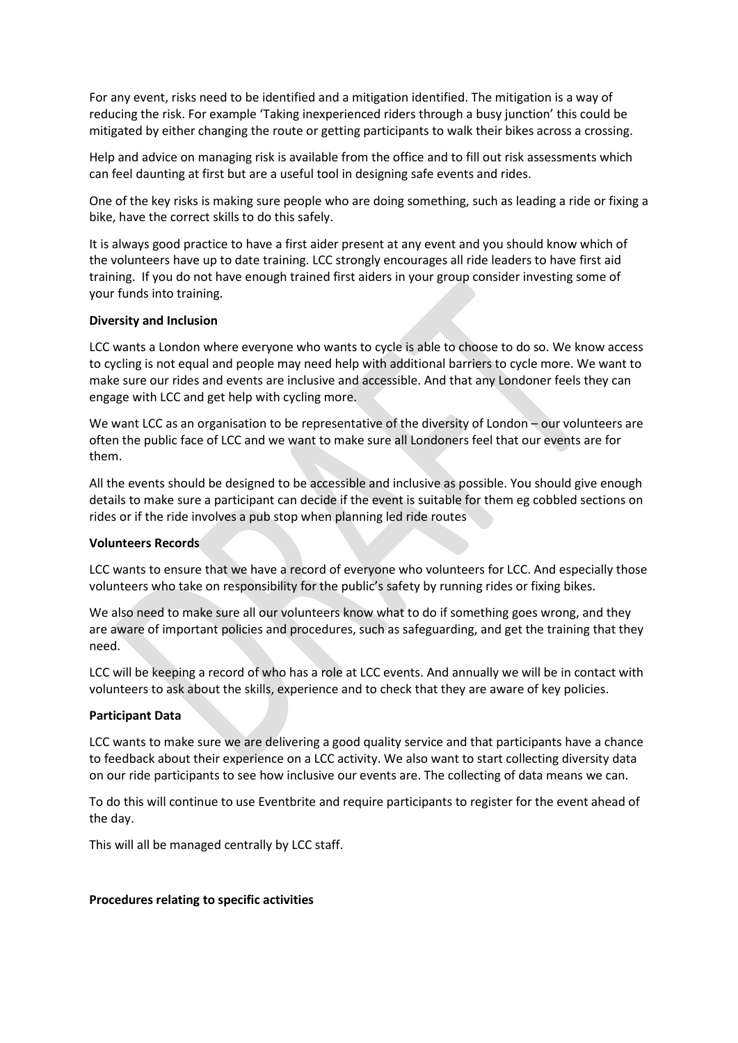For any event, risks need to be identified and a mitigation identified. The mitigation is a way of reducing the risk. For example 'Taking inexperienced riders through a busy junction' this could be mitigated by either changing the route or getting participants to walk their bikes across a crossing.

Help and advice on managing risk is available from the office and to fill out risk assessments which can feel daunting at first but are a useful tool in designing safe events and rides.

One of the key risks is making sure people who are doing something, such as leading a ride or fixing a bike, have the correct skills to do this safely.

It is always good practice to have a first aider present at any event and you should know which of the volunteers have up to date training. LCC strongly encourages all ride leaders to have first aid training. If you do not have enough trained first aiders in your group consider investing some of your funds into training.

### **Diversity and Inclusion**

LCC wants a London where everyone who wants to cycle is able to choose to do so. We know access to cycling is not equal and people may need help with additional barriers to cycle more. We want to make sure our rides and events are inclusive and accessible. And that any Londoner feels they can engage with LCC and get help with cycling more.

We want LCC as an organisation to be representative of the diversity of London – our volunteers are often the public face of LCC and we want to make sure all Londoners feel that our events are for them.

All the events should be designed to be accessible and inclusive as possible. You should give enough details to make sure a participant can decide if the event is suitable for them eg cobbled sections on rides or if the ride involves a pub stop when planning led ride routes

#### **Volunteers Records**

LCC wants to ensure that we have a record of everyone who volunteers for LCC. And especially those volunteers who take on responsibility for the public's safety by running rides or fixing bikes.

We also need to make sure all our volunteers know what to do if something goes wrong, and they are aware of important policies and procedures, such as safeguarding, and get the training that they need.

LCC will be keeping a record of who has a role at LCC events. And annually we will be in contact with volunteers to ask about the skills, experience and to check that they are aware of key policies.

#### **Participant Data**

LCC wants to make sure we are delivering a good quality service and that participants have a chance to feedback about their experience on a LCC activity. We also want to start collecting diversity data on our ride participants to see how inclusive our events are. The collecting of data means we can.

To do this will continue to use Eventbrite and require participants to register for the event ahead of the day.

This will all be managed centrally by LCC staff.

#### **Procedures relating to specific activities**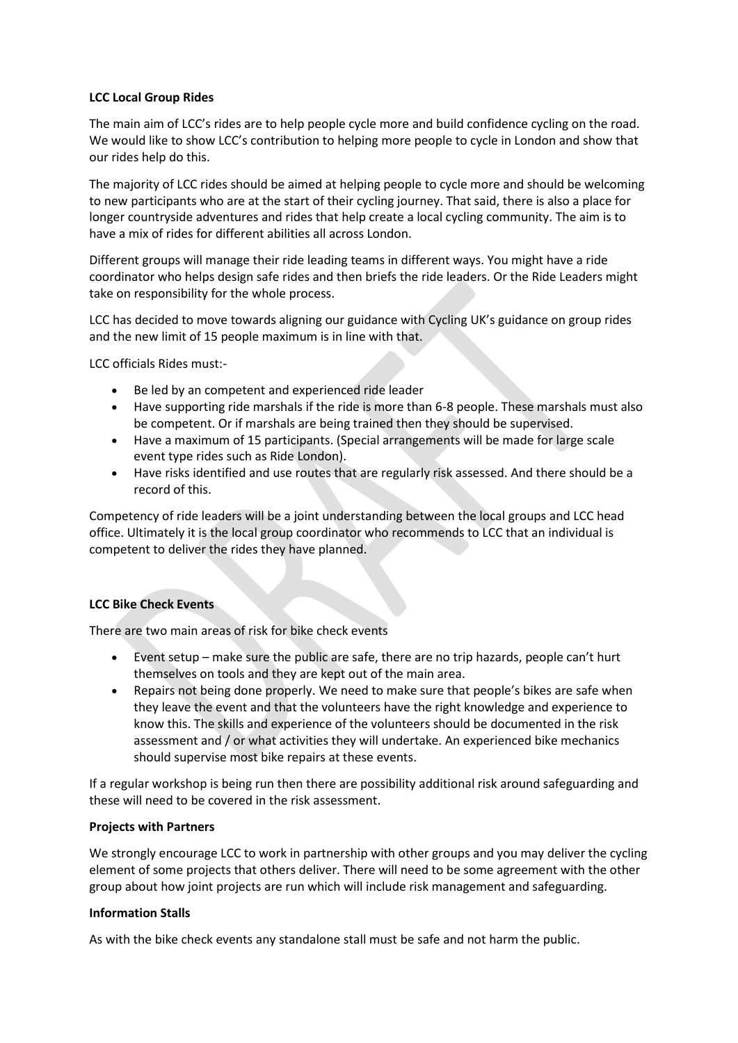# **LCC Local Group Rides**

The main aim of LCC's rides are to help people cycle more and build confidence cycling on the road. We would like to show LCC's contribution to helping more people to cycle in London and show that our rides help do this.

The majority of LCC rides should be aimed at helping people to cycle more and should be welcoming to new participants who are at the start of their cycling journey. That said, there is also a place for longer countryside adventures and rides that help create a local cycling community. The aim is to have a mix of rides for different abilities all across London.

Different groups will manage their ride leading teams in different ways. You might have a ride coordinator who helps design safe rides and then briefs the ride leaders. Or the Ride Leaders might take on responsibility for the whole process.

LCC has decided to move towards aligning our guidance with Cycling UK's guidance on group rides and the new limit of 15 people maximum is in line with that.

LCC officials Rides must:-

- Be led by an competent and experienced ride leader
- Have supporting ride marshals if the ride is more than 6-8 people. These marshals must also be competent. Or if marshals are being trained then they should be supervised.
- Have a maximum of 15 participants. (Special arrangements will be made for large scale event type rides such as Ride London).
- Have risks identified and use routes that are regularly risk assessed. And there should be a record of this.

Competency of ride leaders will be a joint understanding between the local groups and LCC head office. Ultimately it is the local group coordinator who recommends to LCC that an individual is competent to deliver the rides they have planned.

# **LCC Bike Check Events**

There are two main areas of risk for bike check events

- Event setup make sure the public are safe, there are no trip hazards, people can't hurt themselves on tools and they are kept out of the main area.
- Repairs not being done properly. We need to make sure that people's bikes are safe when they leave the event and that the volunteers have the right knowledge and experience to know this. The skills and experience of the volunteers should be documented in the risk assessment and / or what activities they will undertake. An experienced bike mechanics should supervise most bike repairs at these events.

If a regular workshop is being run then there are possibility additional risk around safeguarding and these will need to be covered in the risk assessment.

# **Projects with Partners**

We strongly encourage LCC to work in partnership with other groups and you may deliver the cycling element of some projects that others deliver. There will need to be some agreement with the other group about how joint projects are run which will include risk management and safeguarding.

# **Information Stalls**

As with the bike check events any standalone stall must be safe and not harm the public.